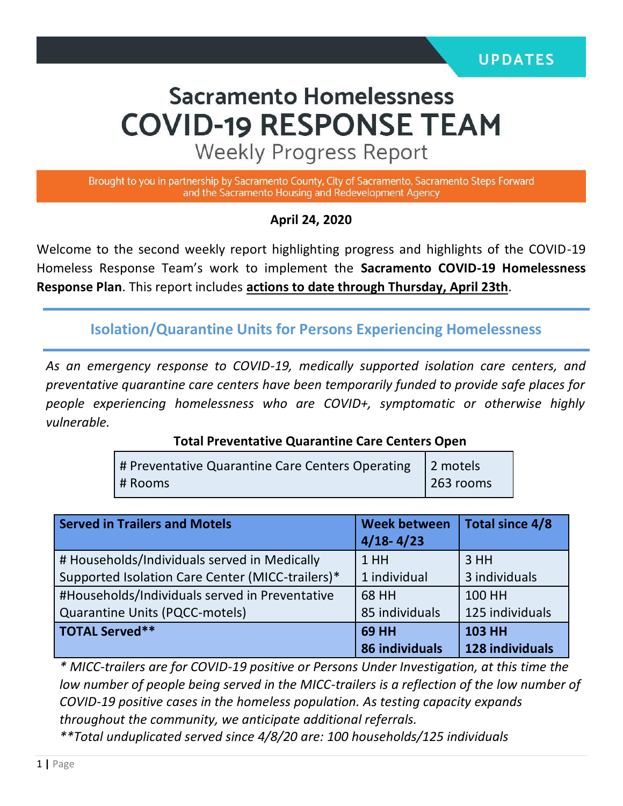# **Sacramento Homelessness COVID-19 RESPONSE TEAM**

**Weekly Progress Report** 

Brought to you in partnership by Sacramento County, City of Sacramento, Sacramento Steps Forward and the Sacramento Housing and Redevelopment Agency

#### **April 24, 2020**

Welcome to the second weekly report highlighting progress and highlights of the COVID-19 Homeless Response Team's work to implement the **Sacramento COVID-19 Homelessness Response Plan**. This report includes **actions to date through Thursday, April 23th**.

**Isolation/Quarantine Units for Persons Experiencing Homelessness**

*As an emergency response to COVID-19, medically supported isolation care centers, and preventative quarantine care centers have been temporarily funded to provide safe places for people experiencing homelessness who are COVID+, symptomatic or otherwise highly vulnerable.*

#### **Total Preventative Quarantine Care Centers Open**

| # Preventative Quarantine Care Centers Operating 2 motels |                   |
|-----------------------------------------------------------|-------------------|
| # Rooms                                                   | $\vert$ 263 rooms |

| Served in Trailers and Motels                    | <b>Week between</b><br>$4/18 - 4/23$ | Total since 4/8 |
|--------------------------------------------------|--------------------------------------|-----------------|
| # Households/Individuals served in Medically     | 1HH                                  | 3 HH            |
| Supported Isolation Care Center (MICC-trailers)* | 1 individual                         | 3 individuals   |
| #Households/Individuals served in Preventative   | 68 HH                                | 100 HH          |
| Quarantine Units (PQCC-motels)                   | 85 individuals                       | 125 individuals |
| TOTAL Served**                                   | <b>69 HH</b>                         | <b>103 HH</b>   |
|                                                  | 86 individuals                       | 128 individuals |

*\* MICC-trailers are for COVID-19 positive or Persons Under Investigation, at this time the*  low number of people being served in the MICC-trailers is a reflection of the low number of *COVID-19 positive cases in the homeless population. As testing capacity expands throughout the community, we anticipate additional referrals. \*\*Total unduplicated served since 4/8/20 are: 100 households/125 individuals*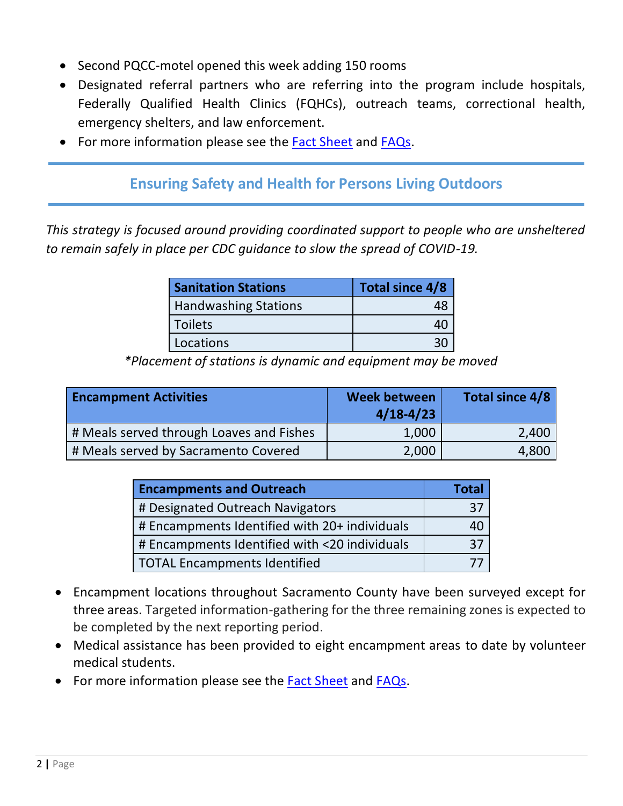- Second PQCC-motel opened this week adding 150 rooms
- Designated referral partners who are referring into the program include hospitals, Federally Qualified Health Clinics (FQHCs), outreach teams, correctional health, emergency shelters, and law enforcement.
- For more information please see the [Fact Sheet](Fact%20Sheet_FAQs/Fact%20Sheet_Isolation%20Quarantine_4.17.20_Final.pdf) and [FAQs.](Fact%20Sheet_FAQs/FAQs%20-%20ISO%20Program_Final%204.17.20.pdf)

## **Ensuring Safety and Health for Persons Living Outdoors**

*This strategy is focused around providing coordinated support to people who are unsheltered to remain safely in place per CDC guidance to slow the spread of COVID-19.*

| <b>Sanitation Stations</b>  | Total since 4/8 |
|-----------------------------|-----------------|
| <b>Handwashing Stations</b> |                 |
| <b>Toilets</b>              |                 |
| Locations                   |                 |

*\*Placement of stations is dynamic and equipment may be moved*

| <b>Encampment Activities</b>             | <b>Week between</b><br>$4/18-4/23$ | Total since 4/8 |
|------------------------------------------|------------------------------------|-----------------|
| # Meals served through Loaves and Fishes | 1,000                              | 2,400           |
| # Meals served by Sacramento Covered     | 2,000                              | 4,800           |

| <b>Encampments and Outreach</b>               | <b>Total</b> |
|-----------------------------------------------|--------------|
| # Designated Outreach Navigators              |              |
| # Encampments Identified with 20+ individuals |              |
| # Encampments Identified with <20 individuals | 37           |
| <b>TOTAL Encampments Identified</b>           |              |

- Encampment locations throughout Sacramento County have been surveyed except for three areas. Targeted information-gathering for the three remaining zones is expected to be completed by the next reporting period.
- Medical assistance has been provided to eight encampment areas to date by volunteer medical students.
- For more information please see the [Fact Sheet](Fact%20Sheet_FAQs/Encampment%20Fact%20Sheet_4.23.20_Final.pdf) and [FAQs.](Fact%20Sheet_FAQs/FAQs%20-%20Encampment%20Program_4.23.20_Final.pdf)